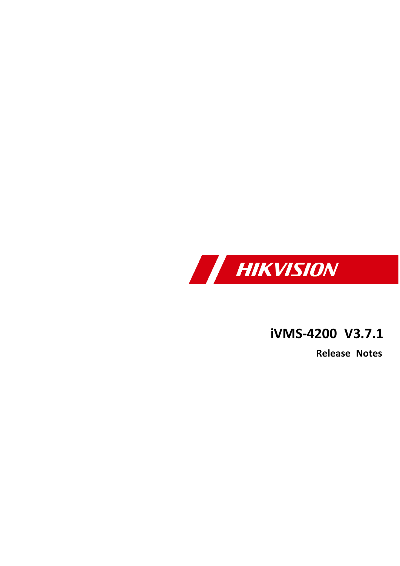

# **iVMS -4200 V3 . 7 . 1**

**Release Notes**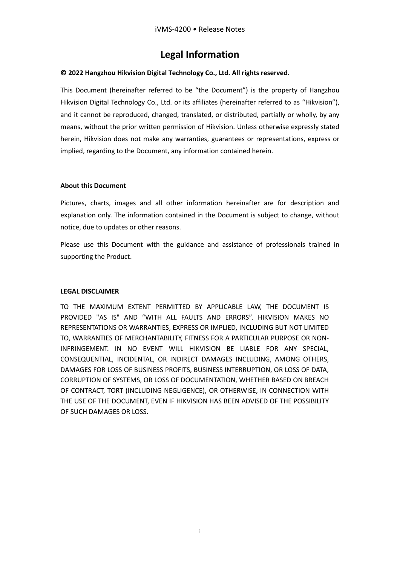#### **Legal Information**

#### **© 2022 Hangzhou Hikvision Digital Technology Co., Ltd. All rights reserved.**

This Document (hereinafter referred to be "the Document") is the property of Hangzhou Hikvision Digital Technology Co., Ltd. or its affiliates (hereinafter referred to as "Hikvision"), and it cannot be reproduced, changed, translated, or distributed, partially or wholly, by any means, without the prior written permission of Hikvision. Unless otherwise expressly stated herein, Hikvision does not make any warranties, guarantees or representations, express or implied, regarding to the Document, any information contained herein.

#### **About this Document**

Pictures, charts, images and all other information hereinafter are for description and explanation only. The information contained in the Document is subject to change, without notice, due to updates or other reasons.

Please use this Document with the guidance and assistance of professionals trained in supporting the Product.

#### **LEGAL DISCLAIMER**

TO THE MAXIMUM EXTENT PERMITTED BY APPLICABLE LAW, THE DOCUMENT IS PROVIDED "AS IS" AND "WITH ALL FAULTS AND ERRORS". HIKVISION MAKES NO REPRESENTATIONS OR WARRANTIES, EXPRESS OR IMPLIED, INCLUDING BUT NOT LIMITED TO, WARRANTIES OF MERCHANTABILITY, FITNESS FOR A PARTICULAR PURPOSE OR NON-INFRINGEMENT. IN NO EVENT WILL HIKVISION BE LIABLE FOR ANY SPECIAL, CONSEQUENTIAL, INCIDENTAL, OR INDIRECT DAMAGES INCLUDING, AMONG OTHERS, DAMAGES FOR LOSS OF BUSINESS PROFITS, BUSINESS INTERRUPTION, OR LOSS OF DATA, CORRUPTION OF SYSTEMS, OR LOSS OF DOCUMENTATION, WHETHER BASED ON BREACH OF CONTRACT, TORT (INCLUDING NEGLIGENCE), OR OTHERWISE, IN CONNECTION WITH THE USE OF THE DOCUMENT, EVEN IF HIKVISION HAS BEEN ADVISED OF THE POSSIBILITY OF SUCH DAMAGES OR LOSS.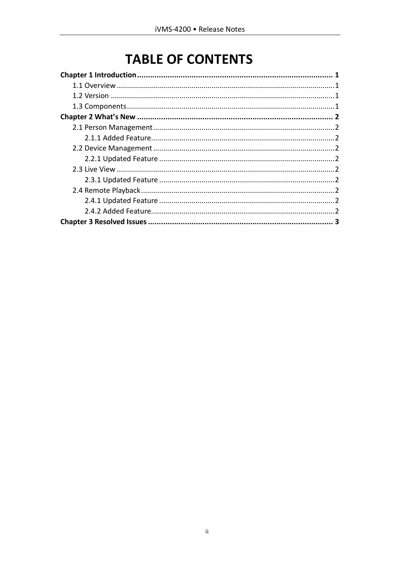# **TABLE OF CONTENTS**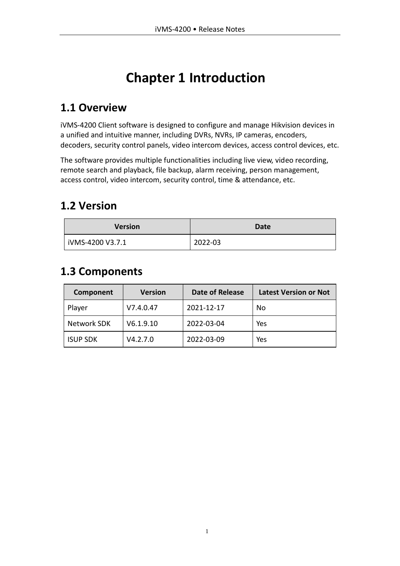# **Chapter 1 Introduction**

### <span id="page-3-1"></span><span id="page-3-0"></span>**1.1 Overview**

iVMS-4200 Client software is designed to configure and manage Hikvision devices in a unified and intuitive manner, including DVRs, NVRs, IP cameras, encoders, decoders, security control panels, video intercom devices, access control devices, etc.

The software provides multiple functionalities including live view, video recording, remote search and playback, file backup, alarm receiving, person management, access control, video intercom, security control, time & attendance, etc.

### <span id="page-3-2"></span>**1.2 Version**

| <b>Version</b>   | Date    |
|------------------|---------|
| iVMS-4200 V3.7.1 | 2022-03 |

### <span id="page-3-3"></span>**1.3 Components**

| Component       | <b>Version</b> | Date of Release | <b>Latest Version or Not</b> |
|-----------------|----------------|-----------------|------------------------------|
| Player          | V7.4.0.47      | 2021-12-17      | No                           |
| Network SDK     | V6.1.9.10      | 2022-03-04      | Yes                          |
| <b>ISUP SDK</b> | V4.2.7.0       | 2022-03-09      | Yes                          |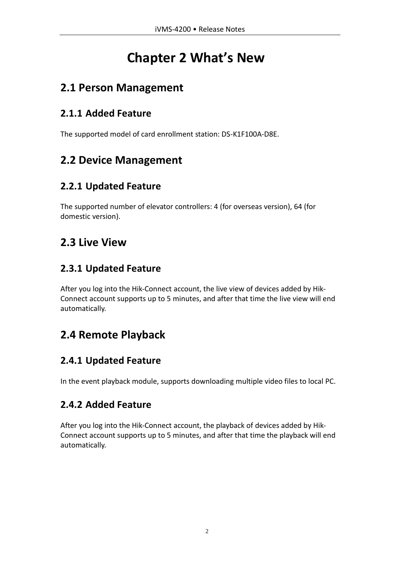# **Chapter 2 What's New**

### <span id="page-4-1"></span><span id="page-4-0"></span>**2.1 Person Management**

#### <span id="page-4-2"></span>**2.1.1 Added Feature**

The supported model of card enrollment station: DS-K1F100A-D8E.

## <span id="page-4-3"></span>**2.2 Device Management**

#### <span id="page-4-4"></span>**2.2.1 Updated Feature**

The supported number of elevator controllers: 4 (for overseas version), 64 (for domestic version).

## <span id="page-4-5"></span>**2.3 Live View**

#### <span id="page-4-6"></span>**2.3.1 Updated Feature**

After you log into the Hik-Connect account, the live view of devices added by Hik-Connect account supports up to 5 minutes, and after that time the live view will end automatically.

## <span id="page-4-7"></span>**2.4 Remote Playback**

### <span id="page-4-8"></span>**2.4.1 Updated Feature**

In the event playback module, supports downloading multiple video files to local PC.

### <span id="page-4-9"></span>**2.4.2 Added Feature**

After you log into the Hik-Connect account, the playback of devices added by Hik-Connect account supports up to 5 minutes, and after that time the playback will end automatically.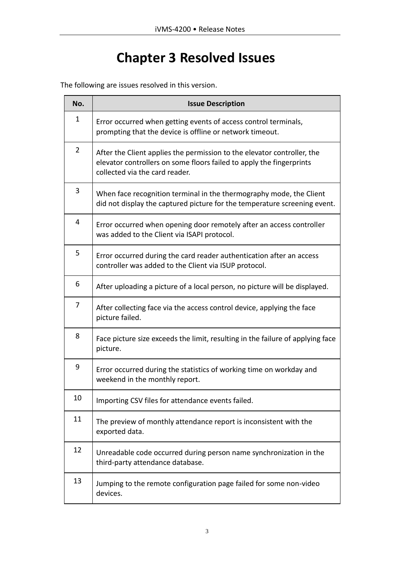# **Chapter 3 Resolved Issues**

<span id="page-5-0"></span>The following are issues resolved in this version.

| No.            | <b>Issue Description</b>                                                                                                                                                          |
|----------------|-----------------------------------------------------------------------------------------------------------------------------------------------------------------------------------|
| 1              | Error occurred when getting events of access control terminals,<br>prompting that the device is offline or network timeout.                                                       |
| $\overline{2}$ | After the Client applies the permission to the elevator controller, the<br>elevator controllers on some floors failed to apply the fingerprints<br>collected via the card reader. |
| 3              | When face recognition terminal in the thermography mode, the Client<br>did not display the captured picture for the temperature screening event.                                  |
| 4              | Error occurred when opening door remotely after an access controller<br>was added to the Client via ISAPI protocol.                                                               |
| 5              | Error occurred during the card reader authentication after an access<br>controller was added to the Client via ISUP protocol.                                                     |
| 6              | After uploading a picture of a local person, no picture will be displayed.                                                                                                        |
| 7              | After collecting face via the access control device, applying the face<br>picture failed.                                                                                         |
| 8              | Face picture size exceeds the limit, resulting in the failure of applying face<br>picture.                                                                                        |
| 9              | Error occurred during the statistics of working time on workday and<br>weekend in the monthly report.                                                                             |
| 10             | Importing CSV files for attendance events failed.                                                                                                                                 |
| 11             | The preview of monthly attendance report is inconsistent with the<br>exported data.                                                                                               |
| 12             | Unreadable code occurred during person name synchronization in the<br>third-party attendance database.                                                                            |
| 13             | Jumping to the remote configuration page failed for some non-video<br>devices.                                                                                                    |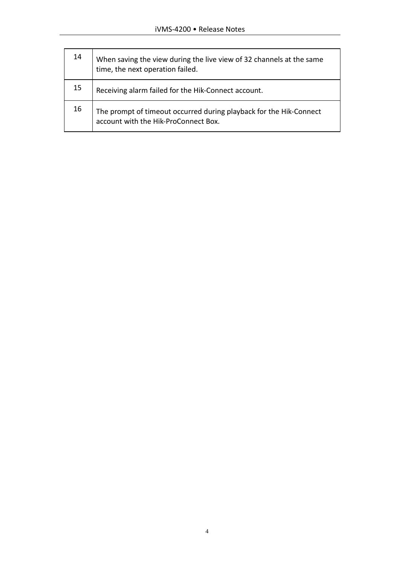| 14 | When saving the view during the live view of 32 channels at the same<br>time, the next operation failed.   |
|----|------------------------------------------------------------------------------------------------------------|
| 15 | Receiving alarm failed for the Hik-Connect account.                                                        |
| 16 | The prompt of timeout occurred during playback for the Hik-Connect<br>account with the Hik-ProConnect Box. |